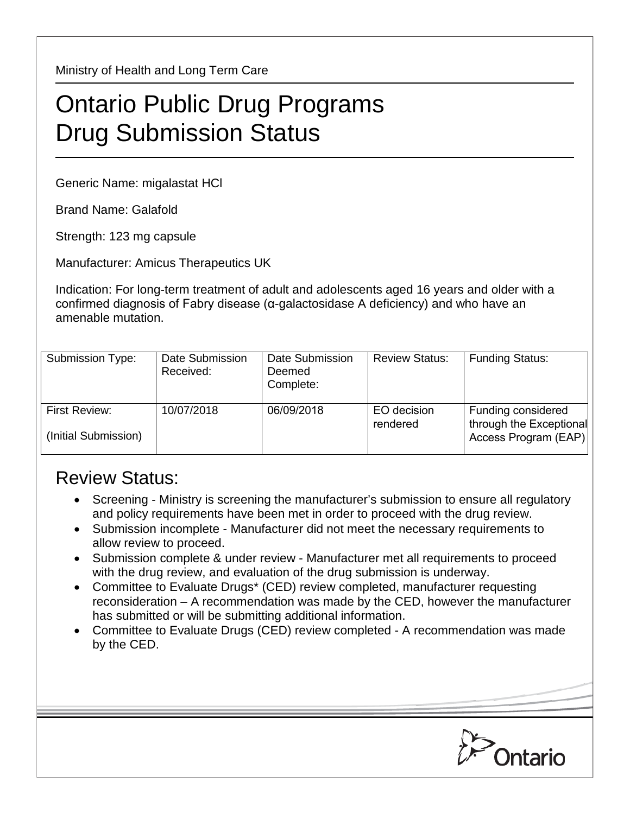Ministry of Health and Long Term Care

## Ontario Public Drug Programs Drug Submission Status

Generic Name: migalastat HCl

Brand Name: Galafold

Strength: 123 mg capsule

Manufacturer: Amicus Therapeutics UK

Indication: For long-term treatment of adult and adolescents aged 16 years and older with a confirmed diagnosis of Fabry disease (α-galactosidase A deficiency) and who have an amenable mutation.

| Submission Type:                             | Date Submission<br>Received: | Date Submission<br>Deemed<br>Complete: | <b>Review Status:</b>   | <b>Funding Status:</b>                                                |
|----------------------------------------------|------------------------------|----------------------------------------|-------------------------|-----------------------------------------------------------------------|
| <b>First Review:</b><br>(Initial Submission) | 10/07/2018                   | 06/09/2018                             | EO decision<br>rendered | Funding considered<br>through the Exceptional<br>Access Program (EAP) |

## Review Status:

- Screening Ministry is screening the manufacturer's submission to ensure all regulatory and policy requirements have been met in order to proceed with the drug review.
- Submission incomplete Manufacturer did not meet the necessary requirements to allow review to proceed.
- Submission complete & under review Manufacturer met all requirements to proceed with the drug review, and evaluation of the drug submission is underway.
- Committee to Evaluate Drugs\* (CED) review completed, manufacturer requesting reconsideration – A recommendation was made by the CED, however the manufacturer has submitted or will be submitting additional information.
- Committee to Evaluate Drugs (CED) review completed A recommendation was made by the CED.